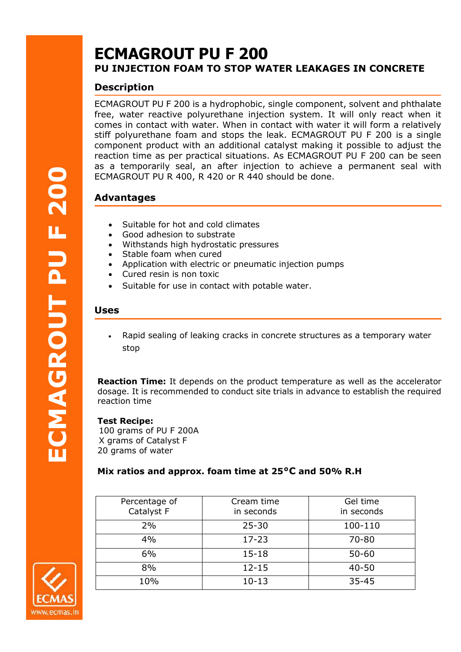# **ECMAGROUT PU F 200 PU INJECTION FOAM TO STOP WATER LEAKAGES IN CONCRETE**

# **Description**

ECMAGROUT PU F 200 is a hydrophobic, single component, solvent and phthalate free, water reactive polyurethane injection system. It will only react when it comes in contact with water. When in contact with water it will form a relatively stiff polyurethane foam and stops the leak. ECMAGROUT PU F 200 is a single component product with an additional catalyst making it possible to adjust the reaction time as per practical situations. As ECMAGROUT PU F 200 can be seen as a temporarily seal, an after injection to achieve a permanent seal with ECMAGROUT PU R 400, R 420 or R 440 should be done.

## **Advantages**

- Suitable for hot and cold climates
- Good adhesion to substrate
- Withstands high hydrostatic pressures
- Stable foam when cured
- Application with electric or pneumatic injection pumps
- Cured resin is non toxic
- Suitable for use in contact with potable water.

#### **Uses**

• Rapid sealing of leaking cracks in concrete structures as a temporary water stop

**Reaction Time:** It depends on the product temperature as well as the accelerator dosage. It is recommended to conduct site trials in advance to establish the required reaction time

#### **Test Recipe:**

 100 grams of PU F 200A X grams of Catalyst F 20 grams of water

## **Mix ratios and approx. foam time at 25°C and 50% R.H**

| Percentage of<br>Catalyst F | Cream time<br>in seconds | Gel time<br>in seconds |
|-----------------------------|--------------------------|------------------------|
| 2%                          | $25 - 30$                | 100-110                |
| 4%                          | $17 - 23$                | $70 - 80$              |
| 6%                          | $15 - 18$                | $50 - 60$              |
| 8%                          | $12 - 15$                | $40 - 50$              |
| 10%                         | $10 - 13$                | $35 - 45$              |

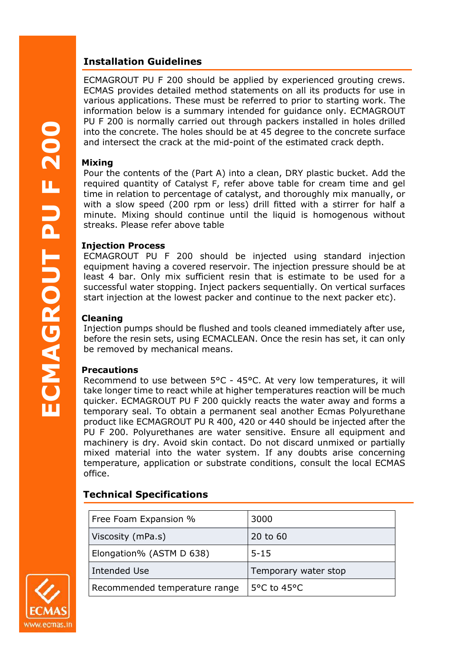## **Installation Guidelines**

ECMAGROUT PU F 200 should be applied by experienced grouting crews. ECMAS provides detailed method statements on all its products for use in various applications. These must be referred to prior to starting work. The information below is a summary intended for guidance only. ECMAGROUT PU F 200 is normally carried out through packers installed in holes drilled into the concrete. The holes should be at 45 degree to the concrete surface and intersect the crack at the mid-point of the estimated crack depth.

## **Mixing**

Pour the contents of the (Part A) into a clean, DRY plastic bucket. Add the required quantity of Catalyst F, refer above table for cream time and gel time in relation to percentage of catalyst, and thoroughly mix manually, or with a slow speed (200 rpm or less) drill fitted with a stirrer for half a minute. Mixing should continue until the liquid is homogenous without streaks. Please refer above table Pina Mapretiwmst The elections of Clarabidity Purchase Clarabidity Purchase Clarabidity Purchase Clarabidity Purchase Clarabidity Purchase Clarabidity Purchase Clarabidity Purchase Clarabidity Purchase Clarabidity Purchase

#### **Injection Process**

ECMAGROUT PU F 200 should be injected using standard injection equipment having a covered reservoir. The injection pressure should be at least 4 bar. Only mix sufficient resin that is estimate to be used for a successful water stopping. Inject packers sequentially. On vertical surfaces start injection at the lowest packer and continue to the next packer etc).

## **Cleaning**

Injection pumps should be flushed and tools cleaned immediately after use, before the resin sets, using ECMACLEAN. Once the resin has set, it can only be removed by mechanical means.

## **Precautions**

Recommend to use between 5°C - 45°C. At very low temperatures, it will take longer time to react while at higher temperatures reaction will be much quicker. ECMAGROUT PU F 200 quickly reacts the water away and forms a temporary seal. To obtain a permanent seal another Ecmas Polyurethane product like ECMAGROUT PU R 400, 420 or 440 should be injected after the PU F 200. Polyurethanes are water sensitive. Ensure all equipment and machinery is dry. Avoid skin contact. Do not discard unmixed or partially mixed material into the water system. If any doubts arise concerning temperature, application or substrate conditions, consult the local ECMAS office.

## **Technical Specifications**

| Free Foam Expansion %         | 3000                            |
|-------------------------------|---------------------------------|
| Viscosity (mPa.s)             | 20 to 60                        |
| Elongation% (ASTM D 638)      | $5 - 15$                        |
| Intended Use                  | Temporary water stop            |
| Recommended temperature range | 5 $\degree$ C to 45 $\degree$ C |